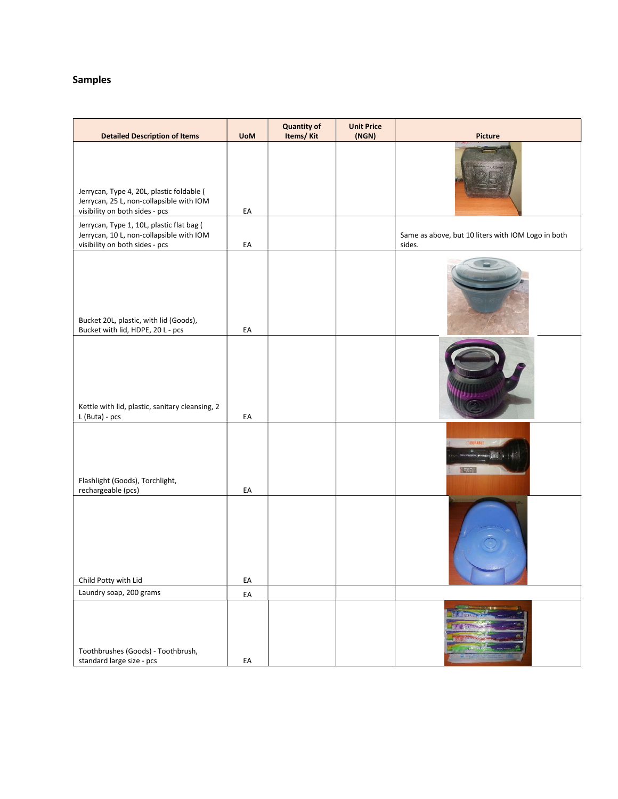## Samples

| <b>Detailed Description of Items</b>                                                                                    | <b>UoM</b> | <b>Quantity of</b><br>Items/Kit | <b>Unit Price</b><br>(NGN) | Picture                                                      |
|-------------------------------------------------------------------------------------------------------------------------|------------|---------------------------------|----------------------------|--------------------------------------------------------------|
| Jerrycan, Type 4, 20L, plastic foldable (<br>Jerrycan, 25 L, non-collapsible with IOM<br>visibility on both sides - pcs | EA         |                                 |                            |                                                              |
| Jerrycan, Type 1, 10L, plastic flat bag (<br>Jerrycan, 10 L, non-collapsible with IOM<br>visibility on both sides - pcs | EA         |                                 |                            | Same as above, but 10 liters with IOM Logo in both<br>sides. |
| Bucket 20L, plastic, with lid (Goods),<br>Bucket with lid, HDPE, 20 L - pcs                                             | EA         |                                 |                            |                                                              |
| Kettle with lid, plastic, sanitary cleansing, 2<br>L (Buta) - pcs                                                       | EA         |                                 |                            |                                                              |
| Flashlight (Goods), Torchlight,<br>rechargeable (pcs)                                                                   | EA         |                                 |                            | HREDI                                                        |
| Child Potty with Lid                                                                                                    | EA         |                                 |                            |                                                              |
| Laundry soap, 200 grams                                                                                                 | EA         |                                 |                            |                                                              |
| Toothbrushes (Goods) - Toothbrush,<br>standard large size - pcs                                                         | EA         |                                 |                            |                                                              |